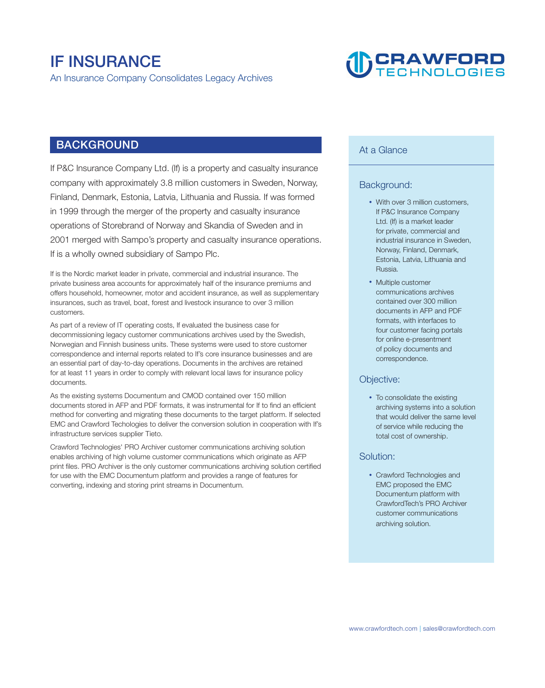# **IF INSURANCE**

**An Insurance Company Consolidates Legacy Archives**

# **DERAWFORD**

# **BACKGROUND**

**If P&C Insurance Company Ltd. (If) is a property and casualty insurance company with approximately 3.8 million customers in Sweden, Norway, Finland, Denmark, Estonia, Latvia, Lithuania and Russia. If was formed in 1999 through the merger of the property and casualty insurance operations of Storebrand of Norway and Skandia of Sweden and in 2001 merged with Sampo's property and casualty insurance operations. If is a wholly owned subsidiary of Sampo Plc.** 

**If is the Nordic market leader in private, commercial and industrial insurance. The private business area accounts for approximately half of the insurance premiums and offers household, homeowner, motor and accident insurance, as well as supplementary insurances, such as travel, boat, forest and livestock insurance to over 3 million customers.** 

**As part of a review of IT operating costs, If evaluated the business case for decommissioning legacy customer communications archives used by the Swedish, Norwegian and Finnish business units. These systems were used to store customer correspondence and internal reports related to If's core insurance businesses and are an essential part of day-to-day operations. Documents in the archives are retained for at least 11 years in order to comply with relevant local laws for insurance policy documents.** 

**As the existing systems Documentum and CMOD contained over 150 million documents stored in AFP and PDF formats, it was instrumental for If to find an efficient method for converting and migrating these documents to the target platform. If selected EMC and Crawford Techologies to deliver the conversion solution in cooperation with If's infrastructure services supplier Tieto.** 

**Crawford Technologies' PRO Archiver customer communications archiving solution enables archiving of high volume customer communications which originate as AFP print files. PRO Archiver is the only customer communications archiving solution certified for use with the EMC Documentum platform and provides a range of features for converting, indexing and storing print streams in Documentum.** 

## **At a Glance**

#### **Background:**

- With over 3 million customers. **If P&C Insurance Company Ltd. (If) is a market leader for private, commercial and industrial insurance in Sweden, Norway, Finland, Denmark, Estonia, Latvia, Lithuania and Russia.**
- **Multiple customer communications archives contained over 300 million documents in AFP and PDF formats, with interfaces to four customer facing portals for online e-presentment of policy documents and correspondence.**

#### **Objective:**

• To consolidate the existing **archiving systems into a solution that would deliver the same level of service while reducing the total cost of ownership.**

#### **Solution:**

• Crawford Technologies and **EMC proposed the EMC Documentum platform with CrawfordTech's PRO Archiver customer communications archiving solution.**